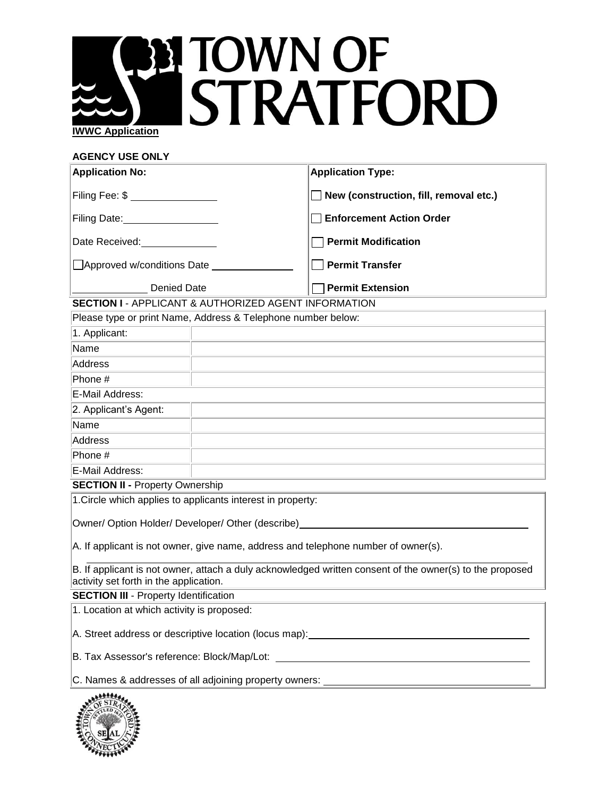## **PH TOWN OF<br>STRATFORD IWWC Application**

### **AGENCY USE ONLY**

| <b>Application No:</b>                                                                                                                                                                                                         |                                                                                                                  | <b>Application Type:</b>                                                                                         |  |  |
|--------------------------------------------------------------------------------------------------------------------------------------------------------------------------------------------------------------------------------|------------------------------------------------------------------------------------------------------------------|------------------------------------------------------------------------------------------------------------------|--|--|
| Filing Fee: \$ ________________                                                                                                                                                                                                |                                                                                                                  | $\Box$ New (construction, fill, removal etc.)                                                                    |  |  |
| Filing Date:____________________                                                                                                                                                                                               |                                                                                                                  | Enforcement Action Order                                                                                         |  |  |
| Date Received:<br><u> </u>                                                                                                                                                                                                     |                                                                                                                  | <b>Permit Modification</b>                                                                                       |  |  |
| □ Approved w/conditions Date _______________                                                                                                                                                                                   |                                                                                                                  | $\Box$ Permit Transfer                                                                                           |  |  |
| <b>Example 1 Denied Date</b>                                                                                                                                                                                                   |                                                                                                                  | <b>Permit Extension</b>                                                                                          |  |  |
| <b>SECTION I - APPLICANT &amp; AUTHORIZED AGENT INFORMATION</b>                                                                                                                                                                |                                                                                                                  |                                                                                                                  |  |  |
| Please type or print Name, Address & Telephone number below:                                                                                                                                                                   |                                                                                                                  |                                                                                                                  |  |  |
| 1. Applicant:                                                                                                                                                                                                                  |                                                                                                                  |                                                                                                                  |  |  |
| Name                                                                                                                                                                                                                           |                                                                                                                  | and the control of the control of the control of the control of the control of the control of the control of the |  |  |
| Address                                                                                                                                                                                                                        | the control of the control of the control of the control of the control of the control of the                    |                                                                                                                  |  |  |
| Phone #                                                                                                                                                                                                                        |                                                                                                                  |                                                                                                                  |  |  |
| <u> 1989 - Johann Stoff, amerikansk politiker (d. 1989)</u><br>E-Mail Address:                                                                                                                                                 |                                                                                                                  |                                                                                                                  |  |  |
| 2. Applicant's Agent:                                                                                                                                                                                                          |                                                                                                                  | the control of the control of the control of the control of the control of the control of                        |  |  |
| Name                                                                                                                                                                                                                           | and the control of the control of the control of the control of the control of the control of the control of the |                                                                                                                  |  |  |
| Address                                                                                                                                                                                                                        | the control of the control of the control of the control of the control of the control of                        |                                                                                                                  |  |  |
| Phone #                                                                                                                                                                                                                        |                                                                                                                  | and the control of the control of the control of the control of the control of the control of the control of the |  |  |
| E-Mail Address:                                                                                                                                                                                                                |                                                                                                                  |                                                                                                                  |  |  |
| <u> 1989 - Johann Stoff, amerikansk politiker (d. 1989)</u><br><b>SECTION II - Property Ownership</b>                                                                                                                          |                                                                                                                  |                                                                                                                  |  |  |
| 1. Circle which applies to applicants interest in property:                                                                                                                                                                    |                                                                                                                  |                                                                                                                  |  |  |
| Owner/ Option Holder/ Developer/ Other (describe) Network and the control of the control of the control of the control of the control of the control of the control of the control of the control of the control of the contro |                                                                                                                  |                                                                                                                  |  |  |
| A. If applicant is not owner, give name, address and telephone number of owner(s).                                                                                                                                             |                                                                                                                  |                                                                                                                  |  |  |
| B. If applicant is not owner, attach a duly acknowledged written consent of the owner(s) to the proposed<br>activity set forth in the application.                                                                             |                                                                                                                  |                                                                                                                  |  |  |

**SECTION III** - Property Identification

1. Location at which activity is proposed:

A. Street address or descriptive location (locus map):

B. Tax Assessor's reference: Block/Map/Lot:

C. Names & addresses of all adjoining property owners: \_\_\_\_

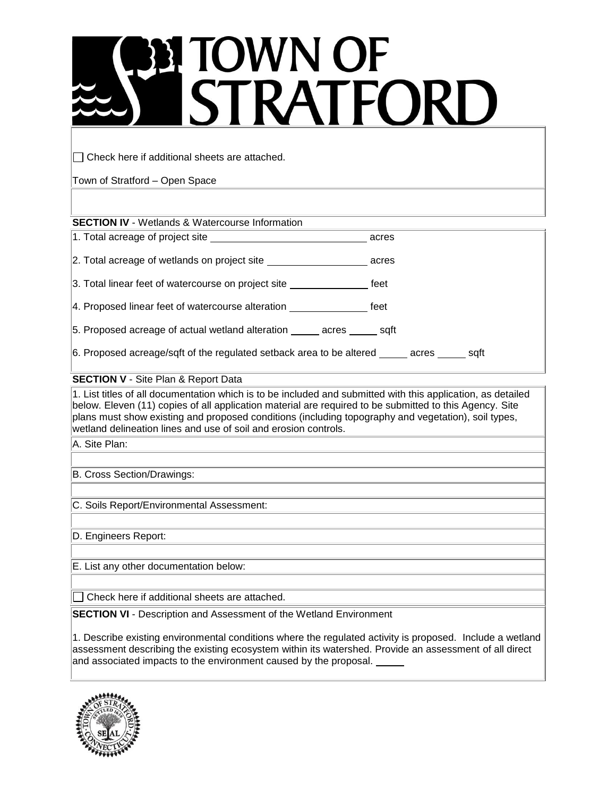# **BITOWN OF<br>STRATFORD**

 $\Box$  Check here if additional sheets are attached.

Town of Stratford – Open Space

**SECTION IV** - Wetlands & Watercourse Information

|                                                                                             | acres |
|---------------------------------------------------------------------------------------------|-------|
| 2. Total acreage of wetlands on project site                                                | acres |
| 3. Total linear feet of watercourse on project site                                         | feet  |
| 4. Proposed linear feet of watercourse alteration ______________________________            | feet  |
| 5. Proposed acreage of actual wetland alteration acres sqft                                 |       |
| 6. Proposed acreage/sqft of the regulated setback area to be altered _____ acres _____ sqft |       |
|                                                                                             |       |

### **SECTION V** - Site Plan & Report Data

1. List titles of all documentation which is to be included and submitted with this application, as detailed below. Eleven (11) copies of all application material are required to be submitted to this Agency. Site plans must show existing and proposed conditions (including topography and vegetation), soil types, wetland delineation lines and use of soil and erosion controls.

A. Site Plan:

B. Cross Section/Drawings:

C. Soils Report/Environmental Assessment:

D. Engineers Report:

E. List any other documentation below:

Check here if additional sheets are attached.

**SECTION VI** - Description and Assessment of the Wetland Environment

1. Describe existing environmental conditions where the regulated activity is proposed. Include a wetland assessment describing the existing ecosystem within its watershed. Provide an assessment of all direct and associated impacts to the environment caused by the proposal. \_\_\_\_\_

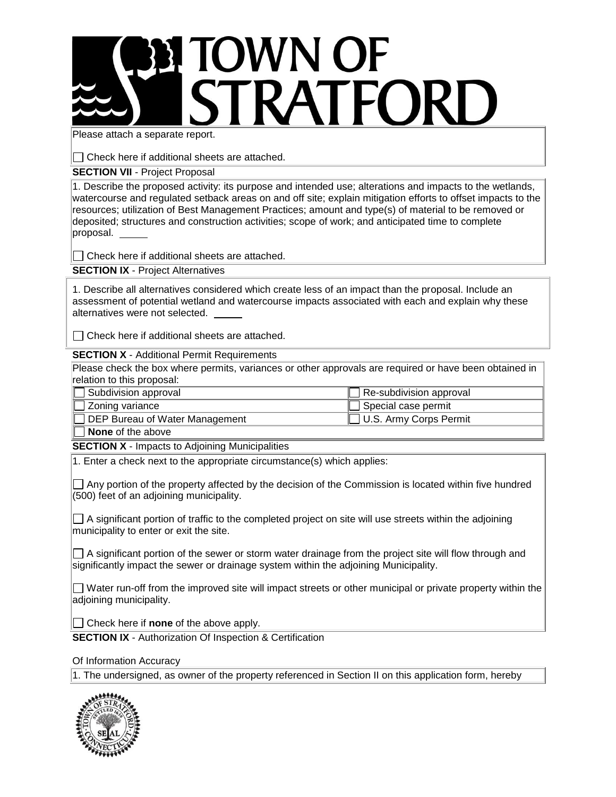### **ETOWN OF** STRATFORD

Please attach a separate report.

 $\Box$  Check here if additional sheets are attached.

**SECTION VII - Project Proposal** 

1. Describe the proposed activity: its purpose and intended use; alterations and impacts to the wetlands, watercourse and regulated setback areas on and off site; explain mitigation efforts to offset impacts to the resources; utilization of Best Management Practices; amount and type(s) of material to be removed or deposited; structures and construction activities; scope of work; and anticipated time to complete proposal.

 $\Box$  Check here if additional sheets are attached.

**SECTION IX** - Project Alternatives

1. Describe all alternatives considered which create less of an impact than the proposal. Include an assessment of potential wetland and watercourse impacts associated with each and explain why these alternatives were not selected.

 $\Box$  Check here if additional sheets are attached.

**SECTION X** - Additional Permit Requirements

Please check the box where permits, variances or other approvals are required or have been obtained in relation to this proposal:

| Subdivision approval           | $\Box$ Re-subdivision approval |
|--------------------------------|--------------------------------|
| $\Box$ Zoning variance         | $\Box$ Special case permit     |
| DEP Bureau of Water Management | □ U.S. Army Corps Permit       |
| l Marca e a fail a calcada a   |                                |

**None** of the above

**SECTION X** - Impacts to Adjoining Municipalities

1. Enter a check next to the appropriate circumstance(s) which applies:

 $\Box$  Any portion of the property affected by the decision of the Commission is located within five hundred (500) feet of an adjoining municipality.

 $\Box$  A significant portion of traffic to the completed project on site will use streets within the adjoining municipality to enter or exit the site.

 $\Box$  A significant portion of the sewer or storm water drainage from the project site will flow through and significantly impact the sewer or drainage system within the adjoining Municipality.

 $\Box$  Water run-off from the improved site will impact streets or other municipal or private property within the adjoining municipality.

Check here if **none** of the above apply.

**SECTION IX** - Authorization Of Inspection & Certification

Of Information Accuracy

1. The undersigned, as owner of the property referenced in Section II on this application form, hereby